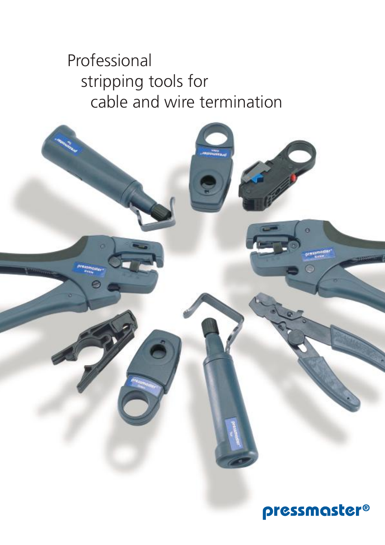# Professional stripping tools for cable and wire termination

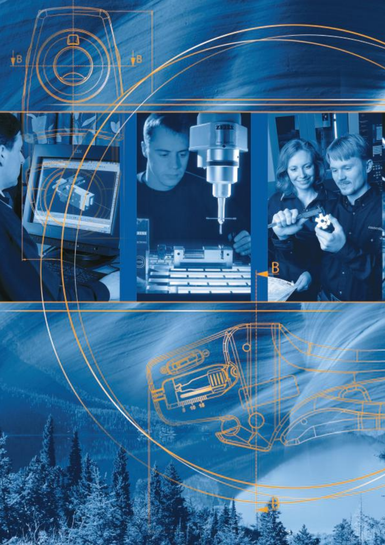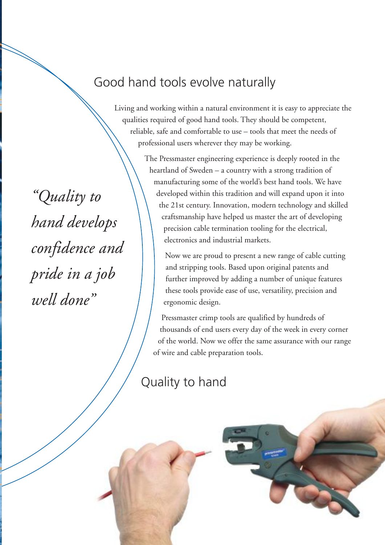## Good hand tools evolve naturally

Living and working within a natural environment it is easy to appreciate the qualities required of good hand tools. They should be competent, reliable, safe and comfortable to use – tools that meet the needs of professional users wherever they may be working.

> The Pressmaster engineering experience is deeply rooted in the heartland of Sweden – a country with a strong tradition of manufacturing some of the world's best hand tools. We have developed within this tradition and will expand upon it into the 21st century. Innovation, modern technology and skilled craftsmanship have helped us master the art of developing precision cable termination tooling for the electrical, electronics and industrial markets.

Now we are proud to present a new range of cable cutting and stripping tools. Based upon original patents and further improved by adding a number of unique features these tools provide ease of use, versatility, precision and ergonomic design.

Pressmaster crimp tools are qualified by hundreds of thousands of end users every day of the week in every corner of the world. Now we offer the same assurance with our range of wire and cable preparation tools.

### Quality to hand



*"Quality to hand develops confidence and pride in a job well done"*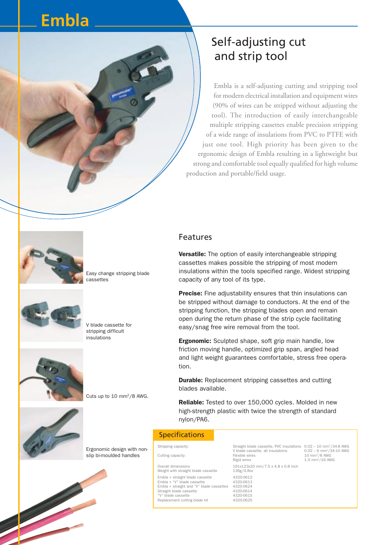# **Embla**

### Self-adjusting cut and strip tool

Embla is a self-adjusting cutting and stripping tool for modern electrical installation and equipment wires (90% of wires can be stripped without adjusting the tool). The introduction of easily interchangeable multiple stripping cassettes enable precision stripping of a wide range of insulations from PVC to PTFE with just one tool. High priority has been given to the ergonomic design of Embla resulting in a lightweight but strong and comfortable tool equally qualified for high volume production and portable/field usage.



Easy change stripping blade cassettes



V blade cassette for strinning difficult insulations



Cuts up to 10 mm<sup>2</sup>/8 AWG.



Ergonomic design with nonslip bi-moulded handles



#### Features

**Versatile:** The option of easily interchangeable stripping cassettes makes possible the stripping of most modern insulations within the tools specified range. Widest stripping capacity of any tool of its type.

Precise: Fine adjustability ensures that thin insulations can be stripped without damage to conductors. At the end of the stripping function, the stripping blades open and remain open during the return phase of the strip cycle facilitating easy/snag free wire removal from the tool.

**Ergonomic:** Sculpted shape, soft grip main handle, low friction moving handle, optimized grip span, angled head and light weight guarantees comfortable, stress free operation.

**Durable:** Replacement stripping cassettes and cutting blades available.

Reliable: Tested to over 150,000 cycles. Molded in new high-strength plastic with twice the strength of standard nylon/PA6.

#### **Specifications**

Weight with straight blade cassette Embla + straight blade cassette 4320-0612 Embla + "V" blade cassette 4320-0613 Embla + straight and "V" blade cassettes 4320-0624<br>Straight blade cassette 4320-0614 Straight blade cassette 4320-0614<br>
V/'' blade cassette 4320-0615 "V" blade cassette 4320-0615 Replacement cutting blade kit 4320-0625

Stripping capacity: Stripping capacity: Stripping capacity: Stripping capacity: Stripping capacity: Stripping C<br>V blade cassette, all insulations 0.02 – 6 mm<sup>2</sup>/34-10 AWG Cutting capacity: Flexible wires 10 mm<sup>2</sup>/8 AWG Rigid wires **1.5 mm<sup>2</sup>/16 AWG**<br>1.5 mm<sup>2</sup>/16 AWG Overall dimensions 191x123x20 mm/7.5 x 4.8 x 0.8 inch<br>Weight with straight blade cassette 136g/4.8oz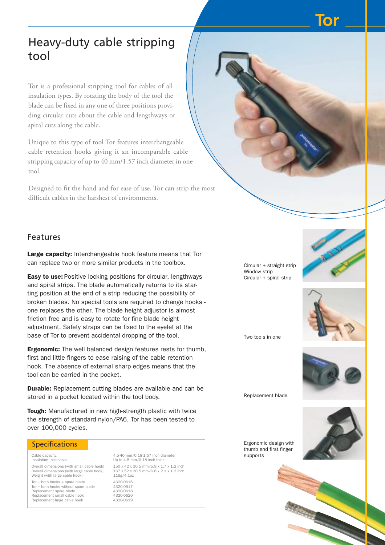

### Heavy-duty cable stripping tool

Tor is a professional stripping tool for cables of all insulation types. By rotating the body of the tool the blade can be fixed in any one of three positions providing circular cuts about the cable and lengthways or spiral cuts along the cable.

Unique to this type of tool Tor features interchangeable cable retention hooks giving it an incomparable cable stripping capacity of up to 40 mm/1.57 inch diameter in one tool.

Designed to fit the hand and for ease of use, Tor can strip the most difficult cables in the harshest of environments.



Large capacity: Interchangeable hook feature means that Tor can replace two or more similar products in the toolbox.

**Easy to use:** Positive locking positions for circular, lengthways and spiral strips. The blade automatically returns to its starting position at the end of a strip reducing the possibility of broken blades. No special tools are required to change hooks one replaces the other. The blade height adjustor is almost friction free and is easy to rotate for fine blade height adjustment. Safety straps can be fixed to the eyelet at the base of Tor to prevent accidental dropping of the tool.

Ergonomic: The well balanced design features rests for thumb, first and little fingers to ease raising of the cable retention hook. The absence of external sharp edges means that the tool can be carried in the pocket.

**Durable:** Replacement cutting blades are available and can be stored in a pocket located within the tool body.

**Tough:** Manufactured in new high-strength plastic with twice the strength of standard nylon/PA6, Tor has been tested to over 100,000 cycles.

#### **Specifications**

Overall dimensions (with small cable hook)<br>Overall dimensions (with large cable hook) Weight (with large cable hook)

 $T$ or + both hooks + spare blade  $4320-0616$ <br> $T$ or + both books without spare blade  $4320-0617$ Tor + both hooks without spare blade 4320-0617<br>Replacement spare blade 4320-0618 Replacement spare blade 4320-0618<br>Replacement small cable book 4320-0620 Replacement small cable hook 4320-0620 Replacement large cable hook 4320-0619

Cable capacity:<br>
Insulation thickness: Up to 4.5 mm/0.18-1.57 inch diameter<br>
Up to 4.5 mm/0.18 inch thick Up to  $4.5$  mm/0.18 inch thick  $150 \times 42 \times 30.5$  mm/5.9 x 1.7 x 1.2 inch<br>167 x 52 x 30.5 mm/6.6 x 2.1 x 1.2 inch<br>116g/4.1oz

Circular + straight strip Window strip Circular + spiral strip





Two tools in one



Replacement blade



Ergonomic design with thumb and first finger

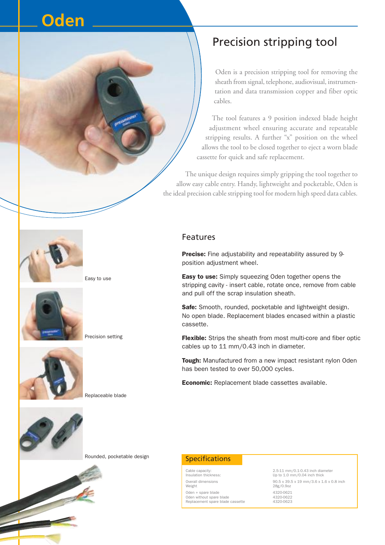# **Oden**

### Precision stripping tool

Oden is a precision stripping tool for removing the sheath from signal, telephone, audiovisual, instrumentation and data transmission copper and fiber optic cables.

The tool features a 9 position indexed blade height adjustment wheel ensuring accurate and repeatable stripping results. A further "x" position on the wheel allows the tool to be closed together to eject a worn blade cassette for quick and safe replacement.

The unique design requires simply gripping the tool together to allow easy cable entry. Handy, lightweight and pocketable, Oden is the ideal precision cable stripping tool for modern high speed data cables.

Easy to use



Precision setting



Replaceable blade



#### Features

Precise: Fine adjustability and repeatability assured by 9position adjustment wheel.

**Easy to use:** Simply squeezing Oden together opens the stripping cavity - insert cable, rotate once, remove from cable and pull off the scrap insulation sheath.

Safe: Smooth, rounded, pocketable and lightweight design. No open blade. Replacement blades encased within a plastic cassette.

Flexible: Strips the sheath from most multi-core and fiber optic cables up to 11 mm/0.43 inch in diameter.

Tough: Manufactured from a new impact resistant nylon Oden has been tested to over 50,000 cycles.

Economic: Replacement blade cassettes available.

#### **Specifications**

Cable capacity:<br>
2.5-11 mm/0.1-0.43 inch diameter<br>
Un to 1.0 mm/0.04 inch thick Oden + spare blade 4320-0621<br>Oden without spare blade 4320-0622 Oden without spare blade<br>
Replacement spare blade cassette<br>
4320-0623 Replacement spare blade cassette

Up to  $1.0 \text{ mm}/0.04$  inch thick Overall dimensions 90.5 x 39.5 x 19 mm/3.6 x 1.6 x 0.8 inch<br>  $\frac{1}{28g/0.90z}$   $\frac{1}{28g/0.90z}$ 28g/0.9oz

Rounded, pocketable design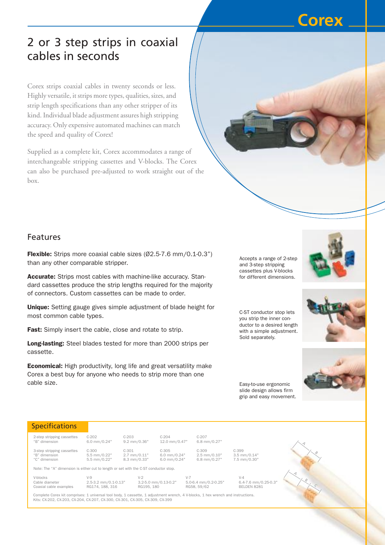

### 2 or 3 step strips in coaxial cables in seconds

Corex strips coaxial cables in twenty seconds or less. Highly versatile, it strips more types, qualities, sizes, and strip length specifications than any other stripper of its kind. Individual blade adjustment assures high stripping accuracy. Only expensive automated machines can match the speed and quality of Corex!

Supplied as a complete kit, Corex accommodates a range of interchangeable stripping cassettes and V-blocks. The Corex can also be purchased pre-adjusted to work straight out of the box.



#### Features

Flexible: Strips more coaxial cable sizes (Ø2.5-7.6 mm/0.1-0.3") than any other comparable stripper.

Accurate: Strips most cables with machine-like accuracy. Standard cassettes produce the strip lengths required for the majority of connectors. Custom cassettes can be made to order.

Unique: Setting gauge gives simple adjustment of blade height for most common cable types.

Fast: Simply insert the cable, close and rotate to strip.

Long-lasting: Steel blades tested for more than 2000 strips per cassette.

Economical: High productivity, long life and great versatility make Corex a best buy for anyone who needs to strip more than one cable size.

Accepts a range of 2-step and 3-step stripping cassettes plus V-blocks for different dimensions.



C-ST conductor stop lets you strip the inner conductor to a desired length with a simple adjustment. Sold separately.



Easy-to-use ergonomic slide design allows firm grip and easy movement.

#### **Specifications**

| 2-step stripping cassettes<br>"B" dimension                                                                                                                                                                      | $C-202$<br>$6.0$ mm/0.24"                        | $C-203$<br>$9.2$ mm/0.36"                   | $C-204$<br>12.0 mm/0.47"                    | $C-207$<br>$6.8$ mm/0.27"                    |                                              |  |  |  |
|------------------------------------------------------------------------------------------------------------------------------------------------------------------------------------------------------------------|--------------------------------------------------|---------------------------------------------|---------------------------------------------|----------------------------------------------|----------------------------------------------|--|--|--|
| 3-step stripping cassettes<br>"B" dimension<br>"C" dimension                                                                                                                                                     | $C-300$<br>5.5 mm/0.22"<br>5.5 mm/0.22"          | $C-301$<br>$2.7$ mm/0.11"<br>$8.3$ mm/0.33" | $C-305$<br>$6.0$ mm/0.24"<br>$6.0$ mm/0.24" | $C-309$<br>$2.5$ mm/0.10"<br>$6.8$ mm/0.27"  | $C-399$<br>$3.5$ mm/0.14"<br>7.5 mm/0.30"    |  |  |  |
| Note: The "A" dimension is either cut to length or set with the C-ST conductor stop.                                                                                                                             |                                                  |                                             |                                             |                                              |                                              |  |  |  |
| V-blocks<br>Cable diameter<br>Coaxial cable examples                                                                                                                                                             | $V-9$<br>2.5-3.2 mm/0.1-0.13"<br>RG174, 188, 316 | $V-2$<br>RG195, 180                         | 3.2-5.0 mm/0.13-0.2"                        | $V-7$<br>5.0-6.4 mm/0.2-0.25"<br>RG58, 59/62 | $V-4$<br>6.4-7.6 mm/0.25-0.3"<br>BELDEN 8281 |  |  |  |
| Complete Corex kit comprises: 1 universal tool body, 1 cassette, 1 adjustment wrench, 4 V-blocks, 1 hex wrench and instructions.<br>Kits: CX-202, CX-203, CX-204, CX-207, CX-300, CX-301, CX-305, CX-309, CX-399 |                                                  |                                             |                                             |                                              |                                              |  |  |  |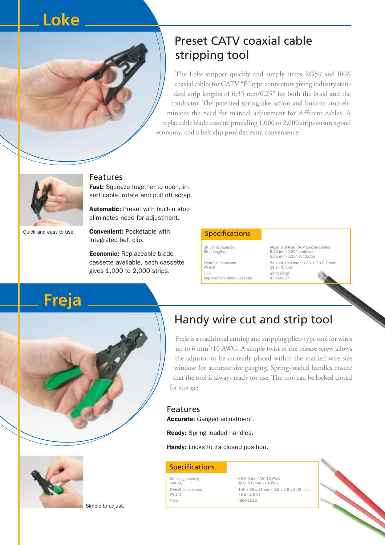# **Loke**

### Preset CATV coaxial cable stripping tool

The Loke stripper quickly and simply strips RG59 and RG6 coaxial cables for CATV "F" type connectors giving industry standard strip lengths of 6.35 mm/0.25" for both the braid and the conductor. The patented spring-like action and built-in stop eliminates the need for manual adjustment for different cables. A replaceable blade cassette providing 1,000 to 2,000 strips ensures good economy, and a belt clip provides extra convenience.



Quick and easy to use.

Features

Fast: Squeeze together to open, insert cable, rotate and pull off scrap.

Automatic: Preset with built-in stop eliminates need for adjustment.

Convenient: Pocketable with integrated belt clip.

Economic: Replaceable blade cassette available, each cassette gives 1,000 to 2,000 strips.

# **Freja**



Weight 21 g/ 0.75oz Loke 4320-0626<br>Replacement blade cassette 4320-0627 --...<br>Replacement blade cassette

Stripping capacity: RG59 and RG6 CATV coaxial cables<br>Strip lengths: 6.35 mm/0.25" braid and Strip lengths: 6.35 mm/0.25" braid and 6.35 mm/0.25" conductor Overall dimensions 83 x 44 x 18 mm/ 3.3 x 1.7 x 0.7 inch





Simple to adjust.

### Handy wire cut and strip tool

Freja is a traditional cutting and stripping pliers type tool for wires up to 6 mm2 /10 AWG. A simple twist of the release screw allows the adjustor to be correctly placed within the marked wire size window for accurate size gauging. Spring-loaded handles ensure that the tool is always ready for use. The tool can be locked closed for storage.

### Features

Accurate: Gauged adjustment.

Ready: Spring loaded handles.

Handy: Locks to its closed position.

#### **Specifications**

Freja 4300-1515

Stripping capacity:  $0.5-6.0 \text{ mm}^2/20-10 \text{ AWG}$ <br>Up to 6.0 mm<sup>2</sup>/10 AWG Up to  $6.0 \text{ mm}^2/10$  AWG Overall dimensions 140 x 66 x 11 mm/ 5.5 x 2.6 x 0.43 inch Weight 78 g/ 2.8 oz

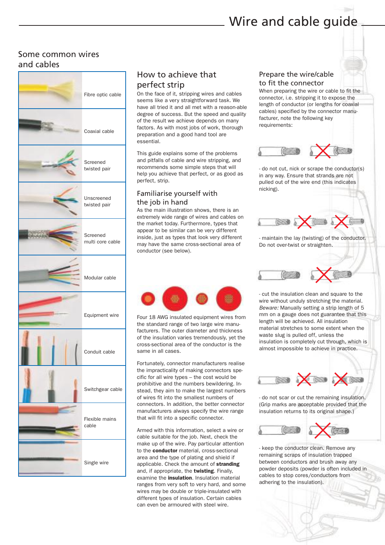## Wire and cable guide

#### Some common wires and cables



### How to achieve that perfect strip

On the face of it, stripping wires and cables seems like a very straightforward task. We have all tried it and all met with a reason-able degree of success. But the speed and quality of the result we achieve depends on many factors. As with most jobs of work, thorough preparation and a good hand tool are essential.

This guide explains some of the problems and pitfalls of cable and wire stripping, and recommends some simple steps that will help you achieve that perfect, or as good as perfect, strip.

#### Familiarise yourself with the job in hand

As the main illustration shows, there is an extremely wide range of wires and cables on the market today. Furthermore, types that appear to be similar can be very different inside, just as types that look very different may have the same cross-sectional area of conductor (see below).



Four 18 AWG insulated equipment wires from the standard range of two large wire manufacturers. The outer diameter and thickness of the insulation varies tremendously, yet the cross-sectional area of the conductor is the same in all cases.

Fortunately, connector manufacturers realise the impracticality of making connectors specific for all wire types – the cost would be prohibitive and the numbers bewildering. Instead, they aim to make the largest numbers of wires fit into the smallest numbers of connectors. In addition, the better connector manufacturers always specify the wire range that will fit into a specific connector.

Armed with this information, select a wire or cable suitable for the job. Next, check the make up of the wire. Pay particular attention to the **conductor** material, cross-sectional area and the type of plating and shield if applicable. Check the amount of stranding and, if appropriate, the **twisting**. Finally, examine the *insulation*. Insulation material ranges from very soft to very hard, and some wires may be double or triple-insulated with different types of insulation. Certain cables can even be armoured with steel wire.

#### Prepare the wire/cable to fit the connector

When preparing the wire or cable to fit the connector, i.e. stripping it to expose the length of conductor (or lengths for coaxial cables) specified by the connector manufacturer, note the following key requirements:



- do not cut, nick or scrape the conductor(s) in any way. Ensure that strands are not pulled out of the wire end (this indicates nicking).



- maintain the lay (twisting) of the conductor. Do not over-twist or straighten.



- cut the insulation clean and square to the wire without unduly stretching the material. Beware: Manually setting a strip length of 5 mm on a gauge does not guarantee that this length will be achieved. All insulation material stretches to some extent when the waste slug is pulled off, unless the insulation is completely cut through, which is almost impossible to achieve in practice.



- do not scar or cut the remaining insulation. (Grip marks are acceptable provided that the insulation returns to its original shape.)



- keep the conductor clean. Remove any remaining scraps of insulation trapped between conductors and brush away any powder deposits (powder is often included in cables to stop cores/conductors from adhering to the insulation).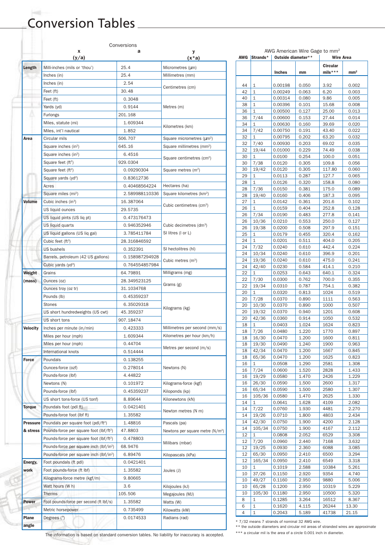# Conversion Tables

|               |                                                                 | Conversions           |                                       |  |
|---------------|-----------------------------------------------------------------|-----------------------|---------------------------------------|--|
|               | x<br>(y/a)                                                      | а                     | у<br>$(x * a)$                        |  |
| Length        |                                                                 | 25.4                  |                                       |  |
|               | Milli-inches (mils or 'thou')<br>Inches (in)                    | 25.4                  | Micrometres (µm)                      |  |
|               | Inches (in)                                                     | 2.54                  | Millimetres (mm)<br>Centimetres (cm)  |  |
|               | Feet (ft)                                                       | 30.48                 |                                       |  |
|               | Feet (ft)                                                       | 0.3048                |                                       |  |
|               | Yards (yd)                                                      | 0.9144                | Metres (m)                            |  |
|               | Furlongs                                                        | 201.168               |                                       |  |
|               | Miles, statute (mi)                                             | 1.609344              |                                       |  |
|               | Miles, int'l nautical                                           | 1.852                 | Kilometres (km)                       |  |
| Area          | Circular mils                                                   | 506.707               | Square micrometres $(\mu m^2)$        |  |
|               | Square inches $(in^2)$                                          | 645.16                | Square millimetres (mm <sup>2</sup> ) |  |
|               | Square inches $(in^2)$                                          | 6.4516                |                                       |  |
|               | Square feet $(ft^2)$                                            | 929.0304              | Square centimetres (cm <sup>2</sup> ) |  |
|               | Square feet $(ft^2)$                                            | 0.09290304            | Square metres $(m^2)$                 |  |
|               | Square yards (yd <sup>2</sup> )                                 | 0.83612736            |                                       |  |
|               | Acres                                                           | 0.40468564224         | Hectares (ha)                         |  |
|               | Square miles (mi <sup>2</sup> )                                 | 2.589988110336        | Square kilometres (km <sup>2</sup> )  |  |
| <b>Volume</b> | Cubic inches $(in^3)$                                           | 16.387064             |                                       |  |
|               | US liquid ounces                                                | 29.5735               | Cubic centimetres (cm <sup>3</sup> )  |  |
|               | US liquid pints (US liq pt)                                     | 0.473176473           |                                       |  |
|               | US liquid quarts                                                | 0.946352946           | Cubic decimetres (dm <sup>3</sup> )   |  |
|               | US liquid gallons (US liq gal)                                  | 3.785411784           | SI litres (I or L)                    |  |
|               | Cubic feet $(ft^3)$                                             | 28.316846592          |                                       |  |
|               | US bushels                                                      | 0.352391              | SI hectolitres (hl)                   |  |
|               | Barrels, petroleum (42 US gallons)                              | 0.158987294928        | Cubic metres $(m^3)$                  |  |
|               | Cubic yards (yd <sup>3</sup> )                                  | 0.764554857984        |                                       |  |
| Weight        | Grains                                                          | 64.79891              | Milligrams (mg)                       |  |
| (mass)        | Ounces (oz)                                                     | 28.349523125          | Grams (g)                             |  |
|               | Ounces troy (oz tr)                                             | 31.1034768            |                                       |  |
|               | Pounds (lb)                                                     | 0.45359237            |                                       |  |
|               | Stones                                                          | 6.35029318            | Kilograms (kg)                        |  |
|               | US short hundredweights (US cwt)                                | 45.359237             |                                       |  |
|               | US short tons                                                   | 907.18474             |                                       |  |
| Velocity      | Inches per minute (in/min)                                      | 0.423333              | Millimetres per second (mm/s)         |  |
|               | Miles per hour (mph)                                            | 1.609344              | Kilometres per hour (km/h)            |  |
|               | Miles per hour (mph)                                            | 0.44704               | Metres per second (m/s)               |  |
|               | International knots                                             | 0.514444              |                                       |  |
| Force         | Poundals                                                        | 0.138255              |                                       |  |
|               | Ounces-force (ozf)                                              | 0.278014              | Newtons (N)                           |  |
|               | Pounds-force (lbf)                                              | 4.44822               |                                       |  |
|               | Newtons (N)                                                     | 0.101972              | Kilograms-force (kgf)                 |  |
|               | Pounds-force (lbf)<br>US short tons-force (US tonf)             | 0.45359237<br>8.89644 | Kiloponds (kp)<br>Kilonewtons (kN)    |  |
|               | Poundals foot (pdl ft)                                          | 0.0421401             |                                       |  |
| <b>Torque</b> | Pounds-force foot (lbf ft)                                      | 1.35582               | Newton metres (N m)                   |  |
|               | <b>Pressure</b> Poundals per square foot (pdl/ft <sup>2</sup> ) | 1.48816               | Pascals (pa)                          |  |
| & stress      | Pounds-force per square foot (lbf/ft <sup>2</sup> )             | 47.8803               | Newtons per square metre $(N/m^2)$    |  |
|               | Pounds-force per square foot (lbf/ft <sup>2</sup> )             | 0.478803              |                                       |  |
|               | Pounds-force per square inch (lbf/in <sup>2</sup> )             | 68.9476               | Milibars (mbar)                       |  |
|               | Pounds-force per square inch (lbf/in <sup>2</sup> )             | 6.89476               | Kilopascals (kPa)                     |  |
| Energy,       | Foot poundals (ft pdl)                                          | 0.0421401             |                                       |  |
| work          | Foot pounds-force (ft lbf)                                      | 1.35582               | Joules (J)                            |  |
|               | Kilograms-force metre (kgf/m)                                   | 9.80665               |                                       |  |
|               | Watt hours (W h)                                                | 3.6                   | Kilojoules (kJ)                       |  |
|               | Therms                                                          | 105.506               | Megajoules (MJ)                       |  |
| <b>Power</b>  | Foot pounds-force per second (ft lbf/s)                         | 1.35582               | Watts (W)                             |  |
|               | Metric horsepower                                               | 0.735499              | Kilowatts (kW)                        |  |
| Plane         | Degrees $(°)$                                                   | 0.0174533             | Radians (rad)                         |  |
| angle         |                                                                 |                       |                                       |  |

| AWG American Wire Gage to mm <sup>2</sup> |                                                   |                    |                |                 |                 |  |  |  |  |
|-------------------------------------------|---------------------------------------------------|--------------------|----------------|-----------------|-----------------|--|--|--|--|
| AWG                                       | Strands*   Outside diameter**<br><b>Wire Area</b> |                    |                |                 |                 |  |  |  |  |
|                                           |                                                   |                    |                | <b>Circular</b> |                 |  |  |  |  |
|                                           |                                                   | <b>Inches</b>      | mm             | $mils***$       | mm <sup>2</sup> |  |  |  |  |
|                                           |                                                   |                    |                |                 |                 |  |  |  |  |
| 44                                        | 1                                                 | 0.00198            | 0.050          | 3.92            | 0.002           |  |  |  |  |
| 42                                        | 1<br>1                                            | 0.00249            | 0.063          | 6.20            | 0.003           |  |  |  |  |
| 40<br>38                                  | 1                                                 | 0.00314<br>0.00396 | 0.080<br>0.101 | 9.86<br>15.68   | 0.005<br>0.008  |  |  |  |  |
| 36                                        | 1                                                 | 0.00500            | 0.127          | 25.00           | 0.013           |  |  |  |  |
| 36                                        | 7/44                                              | 0.00600            | 0.153          | 27.44           | 0.014           |  |  |  |  |
| 34                                        | 1                                                 | 0.00630            | 0.160          | 39.69           | 0.020           |  |  |  |  |
| 34                                        | 7/42                                              | 0.00750            | 0.191          | 43.40           | 0.022           |  |  |  |  |
| 32                                        | 1                                                 | 0.00795            | 0.202          | 63.20           | 0.032           |  |  |  |  |
| 32                                        | 7/40                                              | 0.00930            | 0.203          | 69.02           | 0.035           |  |  |  |  |
| 32                                        | 19/44                                             | 0.01000            | 0.229          | 74.49           | 0.038           |  |  |  |  |
| 30                                        | 1                                                 | 0.0100             | 0.254          | 100.0           | 0.051           |  |  |  |  |
| 30                                        | 7/38                                              | 0.0120             | 0.305          | 109.8           | 0.056           |  |  |  |  |
| 30                                        | 19/42                                             | 0.0120             | 0.305          | 117.80          | 0.060           |  |  |  |  |
| 29                                        | 1                                                 | 0.0113             | 0.287          | 127.7           | 0.065           |  |  |  |  |
| 28                                        | 1                                                 | 0.0126             | 0.320          | 158.8           | 0.080           |  |  |  |  |
| 28                                        | 7/36                                              | 0.0150             | 0.381          | 175.0           | 0.089           |  |  |  |  |
| 28                                        | 19/40                                             | 0.0160             | 0.406          | 187.3           | 0.095           |  |  |  |  |
| 27                                        | 1                                                 | 0.0142             | 0.361          | 201.6           | 0.102           |  |  |  |  |
| 26                                        | 1                                                 | 0.0159             | 0.404          | 252.8           | 0.128           |  |  |  |  |
| 26                                        | 7/34                                              | 0.0190             | 0.483<br>0.553 | 277.8           | 0.141           |  |  |  |  |
| 26                                        | 10/36                                             | 0.0210             |                | 250.0           | 0.127           |  |  |  |  |
| 26<br>25                                  | 19/38<br>1                                        | 0.0200<br>0.0179   | 0.508<br>0.455 | 297.9<br>320.4  | 0.151<br>0.162  |  |  |  |  |
| 24                                        | 1                                                 | 0.0201             | 0.511          | 404.0           | 0.205           |  |  |  |  |
| 24                                        | 7/32                                              | 0.0240             | 0.610          | 442.4           | 0.224           |  |  |  |  |
| 24                                        | 10/34                                             | 0.0240             | 0.610          | 396.9           | 0.201           |  |  |  |  |
| 24                                        | 19/36                                             | 0.0240             | 0.610          | 475.0           | 0.241           |  |  |  |  |
| 24                                        | 42/40                                             | 0.0230             | 0.584          | 414.1           | 0.210           |  |  |  |  |
| 22                                        | 1                                                 | 0.0253             | 0.643          | 640.1           | 0.324           |  |  |  |  |
| 22                                        | 7/30                                              | 0.0300             | 0.762          | 700.0           | 0.355           |  |  |  |  |
| 22                                        | 19/34                                             | 0.0310             | 0.787          | 754.1           | 0.382           |  |  |  |  |
| 20                                        | 1                                                 | 0.0320             | 0.813          | 1024            | 0.519           |  |  |  |  |
| 20                                        | 7/28                                              | 0.0370             | 0.890          | 1111            | 0.563           |  |  |  |  |
| 20                                        | 10/30                                             | 0.0370             | 0.890          | 1000            | 0.507           |  |  |  |  |
| 20                                        | 19/32                                             | 0.0370             | 0.940          | 1201            | 0.608           |  |  |  |  |
| 20                                        | 42/36                                             | 0.0360             | 0.914          | 1050            | 0.532           |  |  |  |  |
| 18                                        | 1                                                 | 0.0403             | 1.024          | 1624            | 0.823           |  |  |  |  |
| 18                                        | 7/26                                              | 0.0480             | 1.220          | 1770            | 0.897           |  |  |  |  |
| 18                                        | 16/30                                             | 0.0470             | 1.200          | 1600            | 0.811           |  |  |  |  |
| 18                                        | 19/30                                             | 0.0490             | 1.240          | 1900            | 0.963           |  |  |  |  |
| 18<br>18                                  | 42/34<br>65/36                                    | 0.0470<br>0.0470   | 1.200<br>1.200 | 1667<br>1625    | 0.845<br>0.823  |  |  |  |  |
| 16                                        | 1                                                 | 0.0508             | 1.290          | 2581            | 1.308           |  |  |  |  |
| 16                                        | 7/24                                              | 0.0600             | 1.520          | 2828            | 1.433           |  |  |  |  |
| 16                                        | 19/29                                             | 0.0580             | 1.470          | 2426            | 1.229           |  |  |  |  |
| 16                                        | 26/30                                             | 0.0590             | 1.500          | 2600            | 1.317           |  |  |  |  |
| 16                                        | 65/34                                             | 0.0590             | 1.500          | 2580            | 1.307           |  |  |  |  |
| 16                                        | 105/36                                            | 0.0580             | 1.470          | 2625            | 1.330           |  |  |  |  |
| 14                                        | 1                                                 | 0.0641             | 1.628          | 4109            | 2.082           |  |  |  |  |
| 14                                        | 7/22                                              | 0.0760             | 1.930          | 4481            | 2.270           |  |  |  |  |
| 14                                        | 19/26                                             | 0.0710             | 1.800          | 4803            | 2.434           |  |  |  |  |
| 14                                        | 42/30                                             | 0.0750             | 1.900          | 4200            | 2.128           |  |  |  |  |
| 14                                        | 105/34                                            | 0.0750             | 1.900          | 4167            | 2.112           |  |  |  |  |
| 12                                        | 1                                                 | 0.0808             | 2.052          | 6529            | 3.308           |  |  |  |  |
| 12                                        | 7/20                                              | 0.0960             | 2.440          | 7168            | 3.632           |  |  |  |  |
| 12                                        | 19/25                                             | 0.0930             | 2.360          | 6088            | 3.085           |  |  |  |  |
| 12                                        | 65/30                                             | 0.0950             | 2.410          | 6500            | 3.294           |  |  |  |  |
| 12                                        | 165/34                                            | 0.0950             | 2.410          | 6549            | 3.318           |  |  |  |  |
| 10                                        | 1                                                 | 0.1019             | 2.588          | 10384           | 5.261           |  |  |  |  |
| 10<br>10                                  | 37/26<br>49/27                                    | 0.1150<br>0.1160   | 2.920<br>2.950 | 9354<br>9880    | 4.740<br>5.006  |  |  |  |  |
| 10                                        | 65/28                                             | 0.1200             | 2.950          | 10319           | 5.229           |  |  |  |  |
| 10                                        | 105/30                                            | 0.1180             | 2.950          | 10500           | 5.320           |  |  |  |  |
| 8                                         | 1                                                 | 0.1285             | 3.264          | 16512           | 8.367           |  |  |  |  |
| 6                                         | 1                                                 | 0.1620             | 4.115          | 26244           | 13.30           |  |  |  |  |
| 4                                         | 1                                                 | 0.2043             | 5.189          | 41738           | 21.15           |  |  |  |  |

\* 7/32 means 7 strands of nominal 32 AWG wire.

\*\* the outside diameters and circular mil areas of stranded wires are approximate \*\*\* a circular mil is the area of a circle 0.001 inch in diameter.

The information is based on standard conversion tables. No liability for inaccuracy is accepted.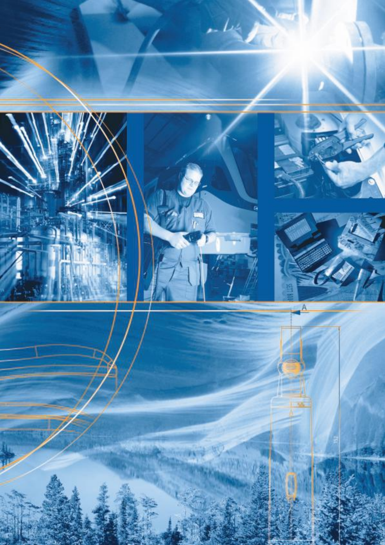